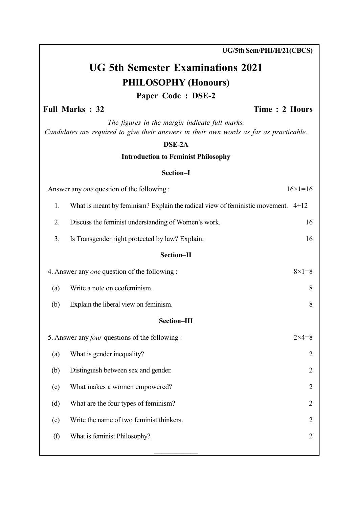|                                                                                                                                           | UG/5th Sem/PHI/H/21(CBCS)                                                        |                    |  |  |
|-------------------------------------------------------------------------------------------------------------------------------------------|----------------------------------------------------------------------------------|--------------------|--|--|
| <b>UG 5th Semester Examinations 2021</b>                                                                                                  |                                                                                  |                    |  |  |
| <b>PHILOSOPHY (Honours)</b>                                                                                                               |                                                                                  |                    |  |  |
| Paper Code: DSE-2                                                                                                                         |                                                                                  |                    |  |  |
| <b>Full Marks: 32</b><br>Time: 2 Hours                                                                                                    |                                                                                  |                    |  |  |
| The figures in the margin indicate full marks.<br>Candidates are required to give their answers in their own words as far as practicable. |                                                                                  |                    |  |  |
| DSE-2A                                                                                                                                    |                                                                                  |                    |  |  |
| <b>Introduction to Feminist Philosophy</b>                                                                                                |                                                                                  |                    |  |  |
| Section-I                                                                                                                                 |                                                                                  |                    |  |  |
|                                                                                                                                           | Answer any <i>one</i> question of the following :                                | $16 \times 1 = 16$ |  |  |
| 1.                                                                                                                                        | What is meant by feminism? Explain the radical view of feministic movement. 4+12 |                    |  |  |
| 2.                                                                                                                                        | Discuss the feminist understanding of Women's work.                              | 16                 |  |  |
| 3.                                                                                                                                        | Is Transgender right protected by law? Explain.                                  | 16                 |  |  |
| Section-II                                                                                                                                |                                                                                  |                    |  |  |
| 4. Answer any one question of the following :<br>$8 \times 1 = 8$                                                                         |                                                                                  |                    |  |  |
| (a)                                                                                                                                       | Write a note on ecofeminism.                                                     | 8                  |  |  |
| (b)                                                                                                                                       | Explain the liberal view on feminism.                                            | 8                  |  |  |
| Section-III                                                                                                                               |                                                                                  |                    |  |  |
|                                                                                                                                           | 5. Answer any <i>four</i> questions of the following :                           | $2 \times 4 = 8$   |  |  |
| (a)                                                                                                                                       | What is gender inequality?                                                       | 2                  |  |  |
| (b)                                                                                                                                       | Distinguish between sex and gender.                                              | 2                  |  |  |
| (c)                                                                                                                                       | What makes a women empowered?                                                    | 2                  |  |  |
| (d)                                                                                                                                       | What are the four types of feminism?                                             | 2                  |  |  |
| (e)                                                                                                                                       | Write the name of two feminist thinkers.                                         | 2                  |  |  |
| (f)                                                                                                                                       | What is feminist Philosophy?                                                     | 2                  |  |  |
|                                                                                                                                           |                                                                                  |                    |  |  |